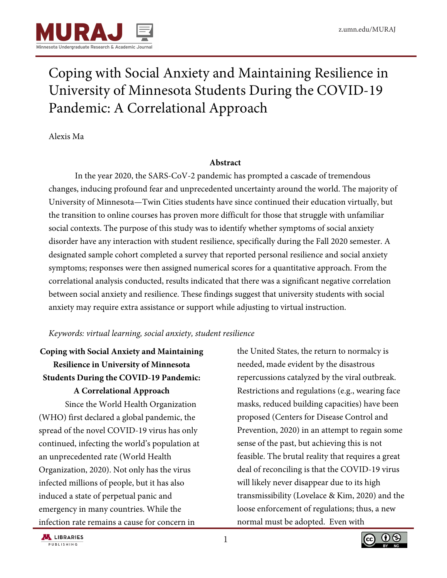

# Coping with Social Anxiety and Maintaining Resilience in University of Minnesota Students During the COVID-19 Pandemic: A Correlational Approach

Alexis Ma

## **Abstract**

In the year 2020, the SARS-CoV-2 pandemic has prompted a cascade of tremendous changes, inducing profound fear and unprecedented uncertainty around the world. The majority of University of Minnesota—Twin Cities students have since continued their education virtually, but the transition to online courses has proven more difficult for those that struggle with unfamiliar social contexts. The purpose of this study was to identify whether symptoms of social anxiety disorder have any interaction with student resilience, specifically during the Fall 2020 semester. A designated sample cohort completed a survey that reported personal resilience and social anxiety symptoms; responses were then assigned numerical scores for a quantitative approach. From the correlational analysis conducted, results indicated that there was a significant negative correlation between social anxiety and resilience. These findings suggest that university students with social anxiety may require extra assistance or support while adjusting to virtual instruction.

## *Keywords: virtual learning, social anxiety, student resilience*

# **Coping with Social Anxiety and Maintaining Resilience in University of Minnesota Students During the COVID-19 Pandemic: A Correlational Approach**

Since the World Health Organization (WHO) first declared a global pandemic, the spread of the novel COVID-19 virus has only continued, infecting the world's population at an unprecedented rate (World Health Organization, 2020). Not only has the virus infected millions of people, but it has also induced a state of perpetual panic and emergency in many countries. While the infection rate remains a cause for concern in

the United States, the return to normalcy is needed, made evident by the disastrous repercussions catalyzed by the viral outbreak. Restrictions and regulations (e.g., wearing face masks, reduced building capacities) have been proposed (Centers for Disease Control and Prevention, 2020) in an attempt to regain some sense of the past, but achieving this is not feasible. The brutal reality that requires a great deal of reconciling is that the COVID-19 virus will likely never disappear due to its high transmissibility (Lovelace & Kim, 2020) and the loose enforcement of regulations; thus, a new normal must be adopted. Even with



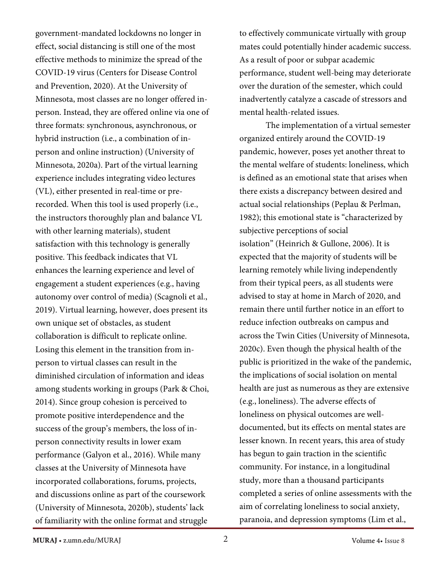government-mandated lockdowns no longer in effect, social distancing is still one of the most effective methods to minimize the spread of the COVID-19 virus (Centers for Disease Control and Prevention, 2020). At the University of Minnesota, most classes are no longer offered inperson. Instead, they are offered online via one of three formats: synchronous, asynchronous, or hybrid instruction (i.e., a combination of inperson and online instruction) (University of Minnesota, 2020a). Part of the virtual learning experience includes integrating video lectures (VL), either presented in real-time or prerecorded. When this tool is used properly (i.e., the instructors thoroughly plan and balance VL with other learning materials), student satisfaction with this technology is generally positive. This feedback indicates that VL enhances the learning experience and level of engagement a student experiences (e.g., having autonomy over control of media) (Scagnoli et al., 2019). Virtual learning, however, does present its own unique set of obstacles, as student collaboration is difficult to replicate online. Losing this element in the transition from inperson to virtual classes can result in the diminished circulation of information and ideas among students working in groups (Park & Choi, 2014). Since group cohesion is perceived to promote positive interdependence and the success of the group's members, the loss of inperson connectivity results in lower exam performance (Galyon et al., 2016). While many classes at the University of Minnesota have incorporated collaborations, forums, projects, and discussions online as part of the coursework (University of Minnesota, 2020b), students' lack of familiarity with the online format and struggle

to effectively communicate virtually with group mates could potentially hinder academic success. As a result of poor or subpar academic performance, student well-being may deteriorate over the duration of the semester, which could inadvertently catalyze a cascade of stressors and mental health-related issues.

The implementation of a virtual semester organized entirely around the COVID-19 pandemic, however, poses yet another threat to the mental welfare of students: loneliness, which is defined as an emotional state that arises when there exists a discrepancy between desired and actual social relationships (Peplau & Perlman, 1982); this emotional state is "characterized by subjective perceptions of social isolation" (Heinrich & Gullone, 2006). It is expected that the majority of students will be learning remotely while living independently from their typical peers, as all students were advised to stay at home in March of 2020, and remain there until further notice in an effort to reduce infection outbreaks on campus and across the Twin Cities (University of Minnesota, 2020c). Even though the physical health of the public is prioritized in the wake of the pandemic, the implications of social isolation on mental health are just as numerous as they are extensive (e.g., loneliness). The adverse effects of loneliness on physical outcomes are welldocumented, but its effects on mental states are lesser known. In recent years, this area of study has begun to gain traction in the scientific community. For instance, in a longitudinal study, more than a thousand participants completed a series of online assessments with the aim of correlating loneliness to social anxiety, paranoia, and depression symptoms (Lim et al.,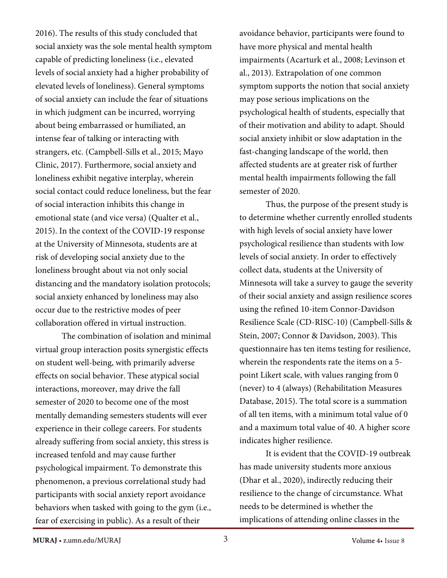2016). The results of this study concluded that social anxiety was the sole mental health symptom capable of predicting loneliness (i.e., elevated levels of social anxiety had a higher probability of elevated levels of loneliness). General symptoms of social anxiety can include the fear of situations in which judgment can be incurred, worrying about being embarrassed or humiliated, an intense fear of talking or interacting with strangers, etc. (Campbell-Sills et al., 2015; Mayo Clinic, 2017). Furthermore, social anxiety and loneliness exhibit negative interplay, wherein social contact could reduce loneliness, but the fear of social interaction inhibits this change in emotional state (and vice versa) (Qualter et al., 2015). In the context of the COVID-19 response at the University of Minnesota, students are at risk of developing social anxiety due to the loneliness brought about via not only social distancing and the mandatory isolation protocols; social anxiety enhanced by loneliness may also occur due to the restrictive modes of peer collaboration offered in virtual instruction.

 The combination of isolation and minimal virtual group interaction posits synergistic effects on student well-being, with primarily adverse effects on social behavior. These atypical social interactions, moreover, may drive the fall semester of 2020 to become one of the most mentally demanding semesters students will ever experience in their college careers. For students already suffering from social anxiety, this stress is increased tenfold and may cause further psychological impairment. To demonstrate this phenomenon, a previous correlational study had participants with social anxiety report avoidance behaviors when tasked with going to the gym (i.e., fear of exercising in public). As a result of their

avoidance behavior, participants were found to have more physical and mental health impairments (Acarturk et al., 2008; Levinson et al., 2013). Extrapolation of one common symptom supports the notion that social anxiety may pose serious implications on the psychological health of students, especially that of their motivation and ability to adapt. Should social anxiety inhibit or slow adaptation in the fast-changing landscape of the world, then affected students are at greater risk of further mental health impairments following the fall semester of 2020.

Thus, the purpose of the present study is to determine whether currently enrolled students with high levels of social anxiety have lower psychological resilience than students with low levels of social anxiety. In order to effectively collect data, students at the University of Minnesota will take a survey to gauge the severity of their social anxiety and assign resilience scores using the refined 10-item Connor-Davidson Resilience Scale (CD-RISC-10) (Campbell-Sills & Stein, 2007; Connor & Davidson, 2003). This questionnaire has ten items testing for resilience, wherein the respondents rate the items on a 5 point Likert scale, with values ranging from 0 (never) to 4 (always) (Rehabilitation Measures Database, 2015). The total score is a summation of all ten items, with a minimum total value of 0 and a maximum total value of 40. A higher score indicates higher resilience.

 It is evident that the COVID-19 outbreak has made university students more anxious (Dhar et al., 2020), indirectly reducing their resilience to the change of circumstance. What needs to be determined is whether the implications of attending online classes in the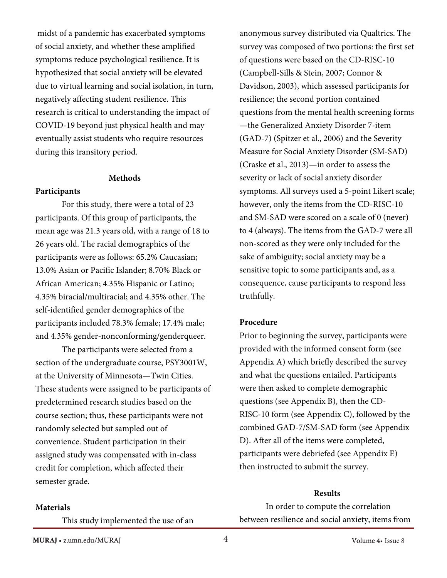midst of a pandemic has exacerbated symptoms of social anxiety, and whether these amplified symptoms reduce psychological resilience. It is hypothesized that social anxiety will be elevated due to virtual learning and social isolation, in turn, negatively affecting student resilience. This research is critical to understanding the impact of COVID-19 beyond just physical health and may eventually assist students who require resources during this transitory period.

## **Methods**

### **Participants**

 For this study, there were a total of 23 participants. Of this group of participants, the mean age was 21.3 years old, with a range of 18 to 26 years old. The racial demographics of the participants were as follows: 65.2% Caucasian; 13.0% Asian or Pacific Islander; 8.70% Black or African American; 4.35% Hispanic or Latino; 4.35% biracial/multiracial; and 4.35% other. The self-identified gender demographics of the participants included 78.3% female; 17.4% male; and 4.35% gender-nonconforming/genderqueer.

The participants were selected from a section of the undergraduate course, PSY3001W, at the University of Minnesota—Twin Cities. These students were assigned to be participants of predetermined research studies based on the course section; thus, these participants were not randomly selected but sampled out of convenience. Student participation in their assigned study was compensated with in-class credit for completion, which affected their semester grade.

anonymous survey distributed via Qualtrics. The survey was composed of two portions: the first set of questions were based on the CD-RISC-10 (Campbell-Sills & Stein, 2007; Connor & Davidson, 2003), which assessed participants for resilience; the second portion contained questions from the mental health screening forms —the Generalized Anxiety Disorder 7-item (GAD-7) (Spitzer et al., 2006) and the Severity Measure for Social Anxiety Disorder (SM-SAD) (Craske et al., 2013)—in order to assess the severity or lack of social anxiety disorder symptoms. All surveys used a 5-point Likert scale; however, only the items from the CD-RISC-10 and SM-SAD were scored on a scale of 0 (never) to 4 (always). The items from the GAD-7 were all non-scored as they were only included for the sake of ambiguity; social anxiety may be a sensitive topic to some participants and, as a consequence, cause participants to respond less truthfully.

#### **Procedure**

Prior to beginning the survey, participants were provided with the informed consent form (see Appendix A) which briefly described the survey and what the questions entailed. Participants were then asked to complete demographic questions (see Appendix B), then the CD-RISC-10 form (see Appendix C), followed by the combined GAD-7/SM-SAD form (see Appendix D). After all of the items were completed, participants were debriefed (see Appendix E) then instructed to submit the survey.

#### **Results**

In order to compute the correlation between resilience and social anxiety, items from

#### **Materials**

This study implemented the use of an

**MURAJ** • z.umn.edu/MURAJ Volume 4• Issue 8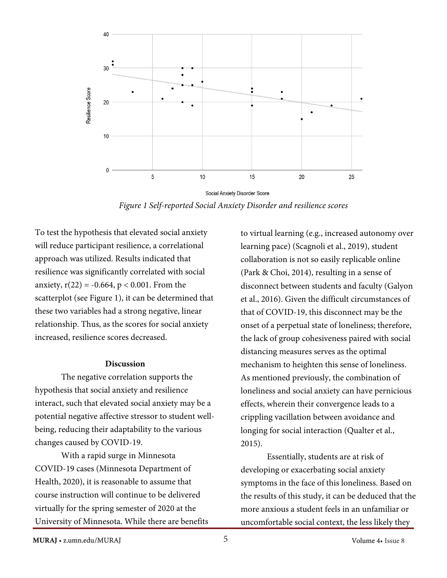

*Figure 1 Self-reported Social Anxiety Disorder and resilience scores* 

To test the hypothesis that elevated social anxiety will reduce participant resilience, a correlational approach was utilized. Results indicated that resilience was significantly correlated with social anxiety,  $r(22) = -0.664$ ,  $p < 0.001$ . From the scatterplot (see Figure 1), it can be determined that these two variables had a strong negative, linear relationship. Thus, as the scores for social anxiety increased, resilience scores decreased.

## **Discussion**

 The negative correlation supports the hypothesis that social anxiety and resilience interact, such that elevated social anxiety may be a potential negative affective stressor to student wellbeing, reducing their adaptability to the various changes caused by COVID-19.

 With a rapid surge in Minnesota COVID-19 cases (Minnesota Department of Health, 2020), it is reasonable to assume that course instruction will continue to be delivered virtually for the spring semester of 2020 at the University of Minnesota. While there are benefits

to virtual learning (e.g., increased autonomy over learning pace) (Scagnoli et al., 2019), student collaboration is not so easily replicable online (Park & Choi, 2014), resulting in a sense of disconnect between students and faculty (Galyon et al., 2016). Given the difficult circumstances of that of COVID-19, this disconnect may be the onset of a perpetual state of loneliness; therefore, the lack of group cohesiveness paired with social distancing measures serves as the optimal mechanism to heighten this sense of loneliness. As mentioned previously, the combination of loneliness and social anxiety can have pernicious effects, wherein their convergence leads to a crippling vacillation between avoidance and longing for social interaction (Qualter et al., 2015).

Essentially, students are at risk of developing or exacerbating social anxiety symptoms in the face of this loneliness. Based on the results of this study, it can be deduced that the more anxious a student feels in an unfamiliar or uncomfortable social context, the less likely they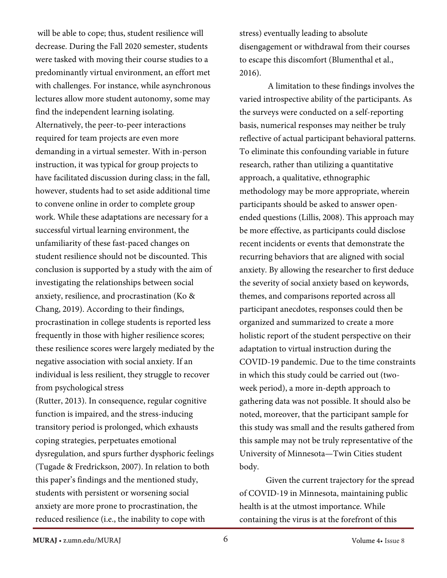will be able to cope; thus, student resilience will decrease. During the Fall 2020 semester, students were tasked with moving their course studies to a predominantly virtual environment, an effort met with challenges. For instance, while asynchronous lectures allow more student autonomy, some may find the independent learning isolating. Alternatively, the peer-to-peer interactions required for team projects are even more demanding in a virtual semester. With in-person instruction, it was typical for group projects to have facilitated discussion during class; in the fall, however, students had to set aside additional time to convene online in order to complete group work. While these adaptations are necessary for a successful virtual learning environment, the unfamiliarity of these fast-paced changes on student resilience should not be discounted. This conclusion is supported by a study with the aim of investigating the relationships between social anxiety, resilience, and procrastination (Ko & Chang, 2019). According to their findings, procrastination in college students is reported less frequently in those with higher resilience scores; these resilience scores were largely mediated by the negative association with social anxiety. If an individual is less resilient, they struggle to recover from psychological stress

(Rutter, 2013). In consequence, regular cognitive function is impaired, and the stress-inducing transitory period is prolonged, which exhausts coping strategies, perpetuates emotional dysregulation, and spurs further dysphoric feelings (Tugade & Fredrickson, 2007). In relation to both this paper's findings and the mentioned study, students with persistent or worsening social anxiety are more prone to procrastination, the reduced resilience (i.e., the inability to cope with

stress) eventually leading to absolute disengagement or withdrawal from their courses to escape this discomfort (Blumenthal et al., 2016).

 A limitation to these findings involves the varied introspective ability of the participants. As the surveys were conducted on a self-reporting basis, numerical responses may neither be truly reflective of actual participant behavioral patterns. To eliminate this confounding variable in future research, rather than utilizing a quantitative approach, a qualitative, ethnographic methodology may be more appropriate, wherein participants should be asked to answer openended questions (Lillis, 2008). This approach may be more effective, as participants could disclose recent incidents or events that demonstrate the recurring behaviors that are aligned with social anxiety. By allowing the researcher to first deduce the severity of social anxiety based on keywords, themes, and comparisons reported across all participant anecdotes, responses could then be organized and summarized to create a more holistic report of the student perspective on their adaptation to virtual instruction during the COVID-19 pandemic. Due to the time constraints in which this study could be carried out (twoweek period), a more in-depth approach to gathering data was not possible. It should also be noted, moreover, that the participant sample for this study was small and the results gathered from this sample may not be truly representative of the University of Minnesota—Twin Cities student body.

 Given the current trajectory for the spread of COVID-19 in Minnesota, maintaining public health is at the utmost importance. While containing the virus is at the forefront of this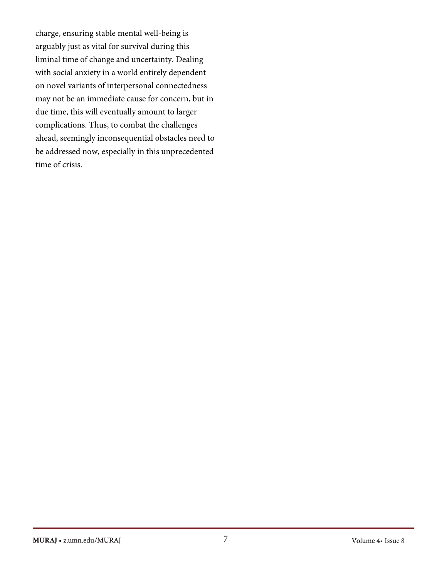charge, ensuring stable mental well-being is arguably just as vital for survival during this liminal time of change and uncertainty. Dealing with social anxiety in a world entirely dependent on novel variants of interpersonal connectedness may not be an immediate cause for concern, but in due time, this will eventually amount to larger complications. Thus, to combat the challenges ahead, seemingly inconsequential obstacles need to be addressed now, especially in this unprecedented time of crisis.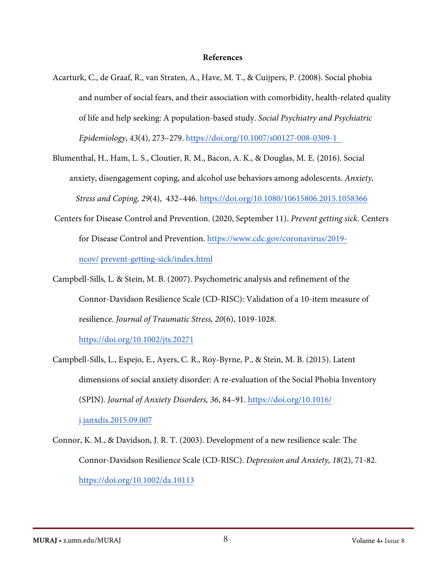#### **References**

Acarturk, C., de Graaf, R., van Straten, A., Have, M. T., & Cuijpers, P. (2008). Social phobia and number of social fears, and their association with comorbidity, health-related quality of life and help seeking: A population-based study. *Social Psychiatry and Psychiatric Epidemiology*, *43*(4), 273–279. <https://doi.org/10.1007/s00127-008-0309-1>

Blumenthal, H., Ham, L. S., Cloutier, R. M., Bacon, A. K., & Douglas, M. E. (2016). Social anxiety, disengagement coping, and alcohol use behaviors among adolescents. *Anxiety, Stress and Coping, 29*(4), 432–446. h[ttps://doi.org/10.1080/10615806.2015.1058366](https://doi.org/10.1080/10615806.2015.1058366)

- Centers for Disease Control and Prevention. (2020, September 11). *Prevent getting sick.* Centers for Disease Control and Prevention[. https://www.cdc.gov/coronavirus/2019](https://www.cdc.gov/coronavirus/2019-ncov/prevent-getting-sick/index.html) ncov/ [prevent-getting-sick/index](https://www.cdc.gov/coronavirus/2019-ncov/prevent-getting-sick/index.html).html
- Campbell-Sills, L. & Stein, M. B. (2007). Psychometric analysis and refinement of the Connor-Davidson Resilience Scale (CD-RISC): Validation of a 10-item measure of resilience. *Journal of Traumatic Stress, 20*(6), 1019-1028.

<https://doi.org/10.1002/jts.20271>

Campbell-Sills, L., Espejo, E., Ayers, C. R., Roy-Byrne, P., & Stein, M. B. (2015). Latent dimensions of social anxiety disorder: A re-evaluation of the Social Phobia Inventory (SPIN). *Journal of Anxiety Disorders, 36*, 84–91. [https://doi.org/10.1016/](https://doi.org/10.1016/j.janxdis.2015.09.007) [j.janxdis.2015.09.007](https://doi.org/10.1016/j.janxdis.2015.09.007)

Connor, K. M., & Davidson, J. R. T. (2003). Development of a new resilience scale: The Connor-Davidson Resilience Scale (CD-RISC). *Depression and Anxiety, 18*(2), 71-82. <https://doi.org/10.1002/da.10113>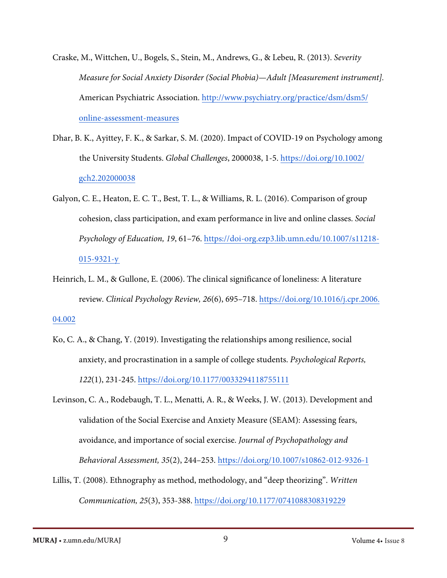- Craske, M., Wittchen, U., Bogels, S., Stein, M., Andrews, G., & Lebeu, R. (2013). *Severity Measure for Social Anxiety Disorder (Social Phobia)—Adult [Measurement instrument].*  American Psychiatric Association. [http://www.psychiatry.org/practice/dsm/dsm5/](http://www.psychiatry.org/practice/) [online-assessment-measures](http://www.psychiatry.org/practice/)
- Dhar, B. K., Ayittey, F. K., & Sarkar, S. M. (2020). Impact of COVID-19 on Psychology among the University Students. *Global Challenges*, 2000038, 1-5. h[ttps://doi.org/10.1002/](https://doi.org/10.1002/gch2.202000038) [gch2.202000038](https://doi.org/10.1002/gch2.202000038)
- Galyon, C. E., Heaton, E. C. T., Best, T. L., & Williams, R. L. (2016). Comparison of group cohesion, class participation, and exam performance in live and online classes. *Social Psychology of Education, 19*, 61–76. h[ttps://doi-org.ezp3.lib.umn.edu/10.1007/s11218-](https://doi-org.ezp3.lib.umn.edu/10.1007/s11218-015-9321-y) [015-9321-y](https://doi-org.ezp3.lib.umn.edu/10.1007/s11218-015-9321-y)
- Heinrich, L. M., & Gullone, E. (2006). The clinical significance of loneliness: A literature review. *Clinical Psychology Review, 26*(6), 695–718. h[ttps://doi.org/10.1016/j.cpr.2006.](https://doi.org/10.1016/j.cpr.2006.04.002) 04.002
- Ko, C. A., & Chang, Y. (2019). Investigating the relationships among resilience, social anxiety, and procrastination in a sample of college students. *Psychological Reports, 122*(1), 231-245. <https://doi.org/10.1177/0033294118755111>
- Levinson, C. A., Rodebaugh, T. L., Menatti, A. R., & Weeks, J. W. (2013). Development and validation of the Social Exercise and Anxiety Measure (SEAM): Assessing fears, avoidance, and importance of social exercise. *Journal of Psychopathology and Behavioral Assessment, 35*(2), 244–253. <https://doi.org/10.1007/s10862-012-9326-1>
- Lillis, T. (2008). Ethnography as method, methodology, and "deep theorizing". *Written Communication, 25*(3), 353-388.<https://doi.org/10.1177/0741088308319229>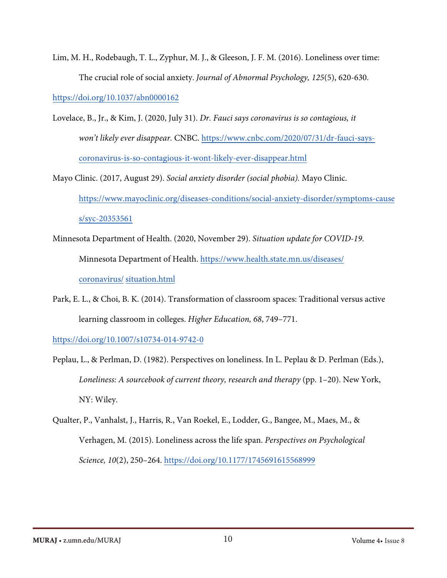Lim, M. H., Rodebaugh, T. L., Zyphur, M. J., & Gleeson, J. F. M. (2016). Loneliness over time: The crucial role of social anxiety. *Journal of Abnormal Psychology, 125*(5), 620-630.

https:/[/doi.org/10.1037/abn0000162](https://doi.org/10.1037/abn0000162)

- Lovelace, B., Jr., & Kim, J. (2020, July 31). *Dr. Fauci says coronavirus is so contagious, it won't likely ever disappear.* CNBC. [https://www.cnbc.com/2020/07/31/dr-fauci-says](https://www.cnbc.com/2020/07/31/dr-fauci-says-coronavirus-is-so-contagious-it-wont-likely-ever-disappear.html)[coronavirus-is-so-contagious-it-wont-likely-ever-disappear.html](https://www.cnbc.com/2020/07/31/dr-fauci-says-coronavirus-is-so-contagious-it-wont-likely-ever-disappear.html)
- Mayo Clinic. (2017, August 29). *Social anxiety disorder (social phobia).* Mayo Clinic. [https://www.mayoclinic.org/diseases-conditions/social-anxiety-disorder/symptoms-cause](https://www.mayoclinic.org/diseases-conditions/social-anxiety-disorder/symptoms-causes/syc-20353561) [s/syc-20353561](https://www.mayoclinic.org/diseases-conditions/social-anxiety-disorder/symptoms-causes/syc-20353561)
- Minnesota Department of Health. (2020, November 29). *Situation update for COVID-19*. Minnesota Department of Health. [https://www.health.state.mn.us/diseases/](https://www.health.state.mn.us/diseases/coronavirus/situation.html) [coronavirus/](https://www.health.state.mn.us/diseases/coronavirus/situation.html) situation.html
- Park, E. L., & Choi, B. K. (2014). Transformation of classroom spaces: Traditional versus active learning classroom in colleges. *Higher Education, 68*, 749–771.

https:/[/doi.org/10.1007/s10734-014-9742-0](https://doi.org/10.1007/s10734-014-9742-0)

- Peplau, L., & Perlman, D. (1982). Perspectives on loneliness. In L. Peplau & D. Perlman (Eds.), *Loneliness: A sourcebook of current theory, research and therapy* (pp. 1–20). New York, NY: Wiley.
- Qualter, P., Vanhalst, J., Harris, R., Van Roekel, E., Lodder, G., Bangee, M., Maes, M., & Verhagen, M. (2015). Loneliness across the life span. *Perspectives on Psychological Science, 10*(2), 250–264. <https://doi.org/10.1177/1745691615568999>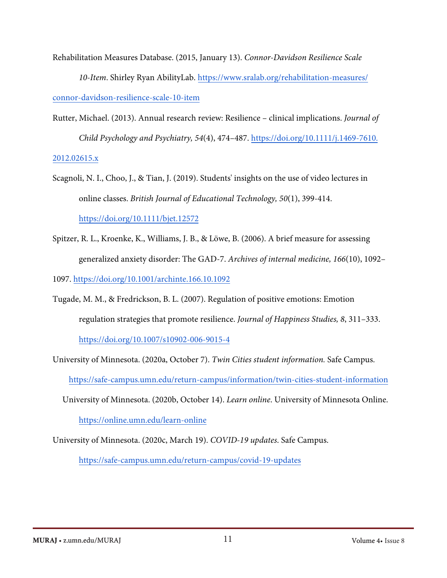Rehabilitation Measures Database. (2015, January 13). *Connor-Davidson Resilience Scale* 

*10-Item*. Shirley Ryan AbilityLab. [https://www.sralab.org/rehabilitation-measures/](https://www.sralab.org/rehabilitation-measures/connor-davidson-resilience-scale-10-item) conno[r-davidson-resilience-scale-10-item](https://www.sralab.org/rehabilitation-measures/connor-davidson-resilience-scale-10-item)

- Rutter, Michael. (2013). Annual research review: Resilience clinical implications. *Journal of Child Psychology and Psychiatry, 54*(4), 474–487. h[ttps://doi.org/10.1111/j.1469-7610.](https://doi.org/10.1111/j.1469-7610.2012.02615.x) 2012.0[2615.x](https://doi.org/10.1111/j.1469-7610.2012.02615.x)
- Scagnoli, N. I., Choo, J., & Tian, J. (2019). Students' insights on the use of video lectures in online classes. *British Journal of Educational Technology, 50*(1), 399-414. <https://doi.org/10.1111/bjet.12572>
- Spitzer, R. L., Kroenke, K., Williams, J. B., & Löwe, B. (2006). A brief measure for assessing generalized anxiety disorder: The GAD-7. *Archives of internal medicine, 166*(10), 1092–

1097. https://[doi.org/10.1001/archinte.166.10.1092](https://doi.org/10.1001/archinte.166.10.1092)

- Tugade, M. M., & Fredrickson, B. L. (2007). Regulation of positive emotions: Emotion regulation strategies that promote resilience. *Journal of Happiness Studies, 8*, 311–333. <https://doi.org/10.1007/s10902-006-9015-4>
- University of Minnesota. (2020a, October 7). *Twin Cities student information.* Safe Campus. ht[tps://safe-campus.umn.edu/return-campus/information/twin-cities-student-information](https://safe-campus.umn.edu/return-campus/information/twin-cities-student-information)
	- University of Minnesota. (2020b, October 14). *Learn online*. University of Minnesota Online. <https://online.umn.edu/learn-online>

University of Minnesota. (2020c, March 19). *COVID-19 updates*. Safe Campus.

<https://safe-campus.umn.edu/return-campus/covid-19-updates>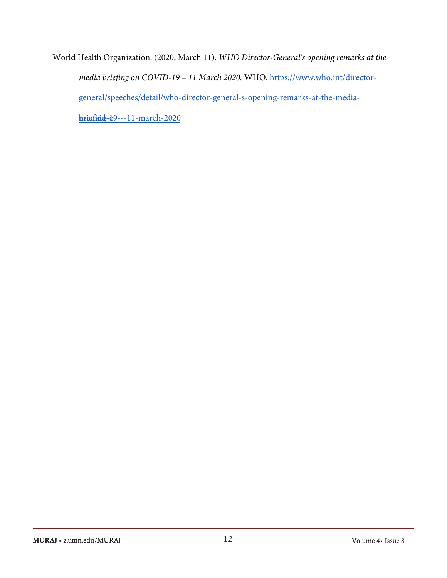World Health Organization. (2020, March 11). *WHO Director-General's opening remarks at the media briefing on COVID-19 – 11 March 2020.* WHO. [https://www.who.int/director](https://www.who.int/director-general/speeches/detail/who-director-general-s-opening-remarks-at-the-media-briefing-on-covid-19---11-march-2020)[general/speeches/detail/who-director-general-s-opening-remarks-at-the-media](https://www.who.int/director-general/speeches/detail/who-director-general-s-opening-remarks-at-the-media-briefing-on-covid-19---11-march-2020) $b$ riafing - $b9$ -[--11-march-2020](https://www.who.int/director-general/speeches/detail/who-director-general-s-opening-remarks-at-the-media-briefing-on-covid-19---11-march-2020)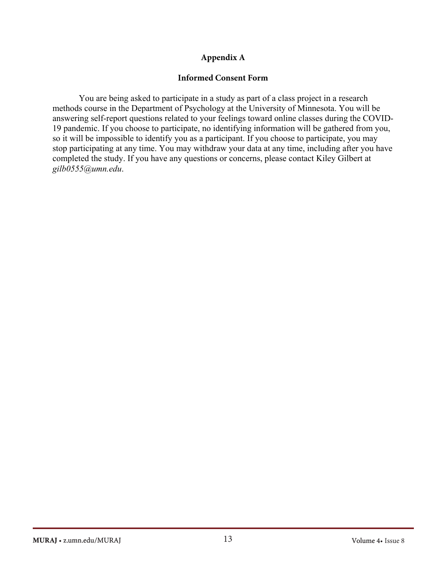## **Appendix A**

## **Informed Consent Form**

You are being asked to participate in a study as part of a class project in a research methods course in the Department of Psychology at the University of Minnesota. You will be answering self-report questions related to your feelings toward online classes during the COVID-19 pandemic. If you choose to participate, no identifying information will be gathered from you, so it will be impossible to identify you as a participant. If you choose to participate, you may stop participating at any time. You may withdraw your data at any time, including after you have completed the study. If you have any questions or concerns, please contact Kiley Gilbert at *gilb0555@umn.edu*.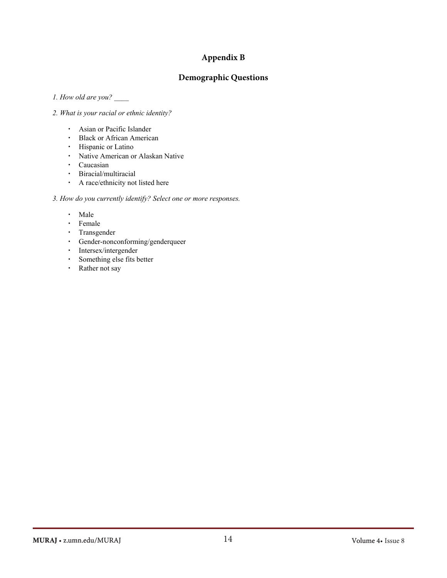## **Appendix B**

## **Demographic Questions**

*1. How old are you?* \_\_\_\_

#### *2. What is your racial or ethnic identity?*

- ・ Asian or Pacific Islander
- ・ Black or African American
- ・ Hispanic or Latino
- ・ Native American or Alaskan Native
- ・ Caucasian
- ・ Biracial/multiracial
- ・ A race/ethnicity not listed here

#### *3. How do you currently identify? Select one or more responses.*

- ・ Male
- ・ Female
- ・ Transgender
- ・ Gender-nonconforming/genderqueer
- ・ Intersex/intergender
- ・ Something else fits better
- ・ Rather not say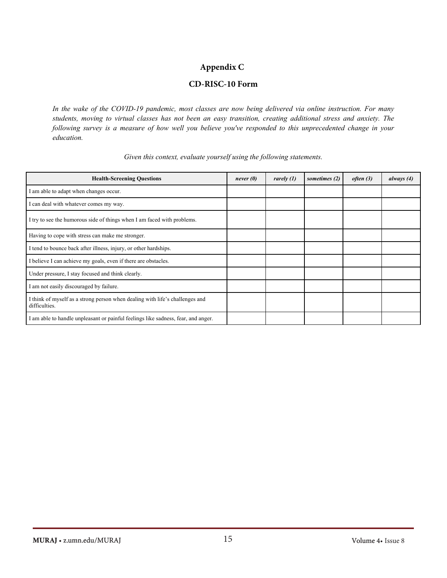## **Appendix C**

## **CD-RISC-10 Form**

*In the wake of the COVID-19 pandemic, most classes are now being delivered via online instruction. For many students, moving to virtual classes has not been an easy transition, creating additional stress and anxiety. The following survey is a measure of how well you believe you've responded to this unprecedented change in your education.*

| <b>Health-Screening Questions</b>                                                             | never(0) | rarely $(1)$ | sometimes (2) | often(3) | always $(4)$ |
|-----------------------------------------------------------------------------------------------|----------|--------------|---------------|----------|--------------|
| I am able to adapt when changes occur.                                                        |          |              |               |          |              |
| I can deal with whatever comes my way.                                                        |          |              |               |          |              |
| I try to see the humorous side of things when I am faced with problems.                       |          |              |               |          |              |
| Having to cope with stress can make me stronger.                                              |          |              |               |          |              |
| I tend to bounce back after illness, injury, or other hardships.                              |          |              |               |          |              |
| I believe I can achieve my goals, even if there are obstacles.                                |          |              |               |          |              |
| Under pressure, I stay focused and think clearly.                                             |          |              |               |          |              |
| I am not easily discouraged by failure.                                                       |          |              |               |          |              |
| I think of myself as a strong person when dealing with life's challenges and<br>difficulties. |          |              |               |          |              |
| I am able to handle unpleasant or painful feelings like sadness, fear, and anger.             |          |              |               |          |              |

#### *Given this context, evaluate yourself using the following statements.*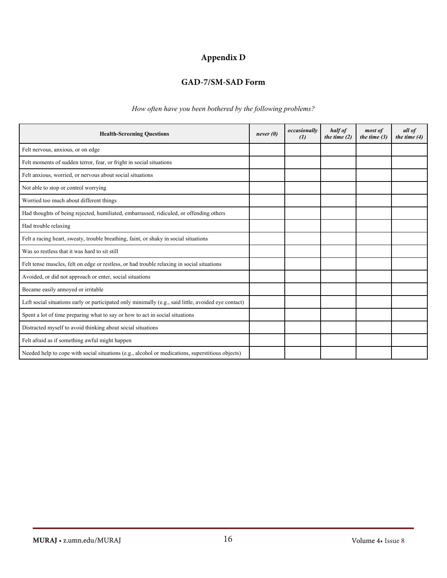# **Appendix D**

# **GAD-7/SM-SAD Form**

*How often have you been bothered by the following problems?*

| <b>Health-Screening Questions</b>                                                                    | never(0) | occasionally<br>$\left( \frac{\eta}{\eta} \right)$ | half of<br>the time $(2)$ | most of<br>the time $(3)$ | all of<br>the time $(4)$ |
|------------------------------------------------------------------------------------------------------|----------|----------------------------------------------------|---------------------------|---------------------------|--------------------------|
| Felt nervous, anxious, or on edge                                                                    |          |                                                    |                           |                           |                          |
| Felt moments of sudden terror, fear, or fright in social situations                                  |          |                                                    |                           |                           |                          |
| Felt anxious, worried, or nervous about social situations                                            |          |                                                    |                           |                           |                          |
| Not able to stop or control worrying                                                                 |          |                                                    |                           |                           |                          |
| Worried too much about different things                                                              |          |                                                    |                           |                           |                          |
| Had thoughts of being rejected, humiliated, embarrassed, ridiculed, or offending others              |          |                                                    |                           |                           |                          |
| Had trouble relaxing                                                                                 |          |                                                    |                           |                           |                          |
| Felt a racing heart, sweaty, trouble breathing, faint, or shaky in social situations                 |          |                                                    |                           |                           |                          |
| Was so restless that it was hard to sit still                                                        |          |                                                    |                           |                           |                          |
| Felt tense muscles, felt on edge or restless, or had trouble relaxing in social situations           |          |                                                    |                           |                           |                          |
| Avoided, or did not approach or enter, social situations                                             |          |                                                    |                           |                           |                          |
| Became easily annoyed or irritable                                                                   |          |                                                    |                           |                           |                          |
| Left social situations early or participated only minimally (e.g., said little, avoided eye contact) |          |                                                    |                           |                           |                          |
| Spent a lot of time preparing what to say or how to act in social situations                         |          |                                                    |                           |                           |                          |
| Distracted myself to avoid thinking about social situations                                          |          |                                                    |                           |                           |                          |
| Felt afraid as if something awful might happen                                                       |          |                                                    |                           |                           |                          |
| Needed help to cope with social situations (e.g., alcohol or medications, superstitious objects)     |          |                                                    |                           |                           |                          |